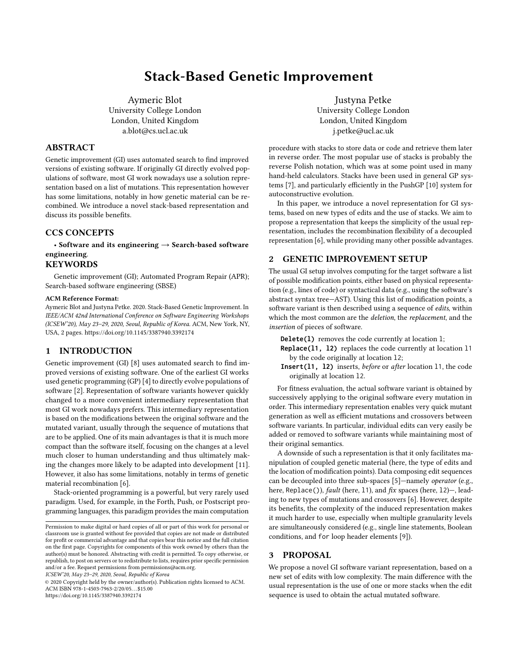# Stack-Based Genetic Improvement

Aymeric Blot University College London London, United Kingdom a.blot@cs.ucl.ac.uk

## ABSTRACT

Genetic improvement (GI) uses automated search to find improved versions of existing software. If originally GI directly evolved populations of software, most GI work nowadays use a solution representation based on a list of mutations. This representation however has some limitations, notably in how genetic material can be recombined. We introduce a novel stack-based representation and discuss its possible benefits.

# CCS CONCEPTS

• Software and its engineering  $\rightarrow$  Search-based software engineering.

## **KEYWORDS**

Genetic improvement (GI); Automated Program Repair (APR); Search-based software engineering (SBSE)

#### ACM Reference Format:

Aymeric Blot and Justyna Petke. 2020. Stack-Based Genetic Improvement. In IEEE/ACM 42nd International Conference on Software Engineering Workshops (ICSEW'20), May 23–29, 2020, Seoul, Republic of Korea. ACM, New York, NY, USA, [2](#page-1-0) pages.<https://doi.org/10.1145/3387940.3392174>

## 1 INTRODUCTION

Genetic improvement (GI) [\[8\]](#page-1-1) uses automated search to find improved versions of existing software. One of the earliest GI works used genetic programming (GP) [\[4\]](#page-1-2) to directly evolve populations of software [\[2\]](#page-1-3). Representation of software variants however quickly changed to a more convenient intermediary representation that most GI work nowadays prefers. This intermediary representation is based on the modifications between the original software and the mutated variant, usually through the sequence of mutations that are to be applied. One of its main advantages is that it is much more compact than the software itself, focusing on the changes at a level much closer to human understanding and thus ultimately making the changes more likely to be adapted into development [\[11\]](#page-1-4). However, it also has some limitations, notably in terms of genetic material recombination [\[6\]](#page-1-5).

Stack-oriented programming is a powerful, but very rarely used paradigm. Used, for example, in the Forth, Push, or Postscript programming languages, this paradigm provides the main computation

ICSEW'20, May 23–29, 2020, Seoul, Republic of Korea

© 2020 Copyright held by the owner/author(s). Publication rights licensed to ACM. ACM ISBN 978-1-4503-7963-2/20/05. . . \$15.00 <https://doi.org/10.1145/3387940.3392174>

Justyna Petke University College London London, United Kingdom j.petke@ucl.ac.uk

procedure with stacks to store data or code and retrieve them later in reverse order. The most popular use of stacks is probably the reverse Polish notation, which was at some point used in many hand-held calculators. Stacks have been used in general GP systems [\[7\]](#page-1-6), and particularly efficiently in the PushGP [\[10\]](#page-1-7) system for autoconstructive evolution.

In this paper, we introduce a novel representation for GI systems, based on new types of edits and the use of stacks. We aim to propose a representation that keeps the simplicity of the usual representation, includes the recombination flexibility of a decoupled representation [\[6\]](#page-1-5), while providing many other possible advantages.

## 2 GENETIC IMPROVEMENT SETUP

The usual GI setup involves computing for the target software a list of possible modification points, either based on physical representation (e.g., lines of code) or syntactical data (e.g., using the software's abstract syntax tree—AST). Using this list of modification points, a software variant is then described using a sequence of edits, within which the most common are the deletion, the replacement, and the insertion of pieces of software.

**Delete(1)** removes the code currently at location 1;

- **Replace(l1, l2)** replaces the code currently at location l1 by the code originally at location l2;
- **Insert(l1, l2)** inserts, before or after location l1, the code originally at location l2.

For fitness evaluation, the actual software variant is obtained by successively applying to the original software every mutation in order. This intermediary representation enables very quick mutant generation as well as efficient mutations and crossovers between software variants. In particular, individual edits can very easily be added or removed to software variants while maintaining most of their original semantics.

A downside of such a representation is that it only facilitates manipulation of coupled genetic material (here, the type of edits and the location of modification points). Data composing edit sequences can be decoupled into three sub-spaces [\[5\]](#page-1-8)—namely operator (e.g., here, Replace()), fault (here, 11), and fix spaces (here, 12)-, leading to new types of mutations and crossovers [\[6\]](#page-1-5). However, despite its benefits, the complexity of the induced representation makes it much harder to use, especially when multiple granularity levels are simultaneously considered (e.g., single line statements, Boolean conditions, and for loop header elements [\[9\]](#page-1-9)).

### **PROPOSAL**

We propose a novel GI software variant representation, based on a new set of edits with low complexity. The main difference with the usual representation is the use of one or more stacks when the edit sequence is used to obtain the actual mutated software.

Permission to make digital or hard copies of all or part of this work for personal or classroom use is granted without fee provided that copies are not made or distributed for profit or commercial advantage and that copies bear this notice and the full citation on the first page. Copyrights for components of this work owned by others than the author(s) must be honored. Abstracting with credit is permitted. To copy otherwise, or republish, to post on servers or to redistribute to lists, requires prior specific permission and/or a fee. Request permissions from permissions@acm.org.